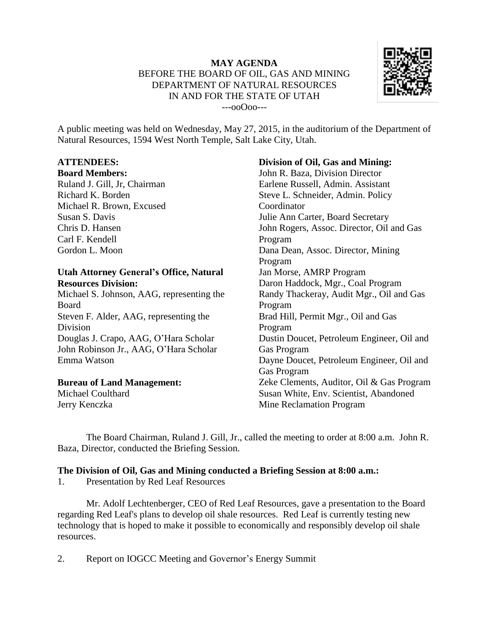

A public meeting was held on Wednesday, May 27, 2015, in the auditorium of the Department of Natural Resources, 1594 West North Temple, Salt Lake City, Utah.

## **ATTENDEES:**

#### **Board Members:**

Ruland J. Gill, Jr, Chairman Richard K. Borden Michael R. Brown, Excused Susan S. Davis Chris D. Hansen Carl F. Kendell Gordon L. Moon

### **Utah Attorney General's Office, Natural Resources Division:**

Michael S. Johnson, AAG, representing the Board Steven F. Alder, AAG, representing the Division Douglas J. Crapo, AAG, O'Hara Scholar John Robinson Jr., AAG, O'Hara Scholar Emma Watson

#### **Bureau of Land Management:**

Michael Coulthard Jerry Kenczka

## **Division of Oil, Gas and Mining:**

John R. Baza, Division Director Earlene Russell, Admin. Assistant Steve L. Schneider, Admin. Policy Coordinator Julie Ann Carter, Board Secretary John Rogers, Assoc. Director, Oil and Gas Program Dana Dean, Assoc. Director, Mining Program Jan Morse, AMRP Program Daron Haddock, Mgr., Coal Program Randy Thackeray, Audit Mgr., Oil and Gas Program Brad Hill, Permit Mgr., Oil and Gas Program Dustin Doucet, Petroleum Engineer, Oil and Gas Program Dayne Doucet, Petroleum Engineer, Oil and Gas Program Zeke Clements, Auditor, Oil & Gas Program Susan White, Env. Scientist, Abandoned Mine Reclamation Program

The Board Chairman, Ruland J. Gill, Jr., called the meeting to order at 8:00 a.m. John R. Baza, Director, conducted the Briefing Session.

### **The Division of Oil, Gas and Mining conducted a Briefing Session at 8:00 a.m.:**

1. Presentation by Red Leaf Resources

Mr. Adolf Lechtenberger, CEO of Red Leaf Resources, gave a presentation to the Board regarding Red Leaf's plans to develop oil shale resources. Red Leaf is currently testing new technology that is hoped to make it possible to economically and responsibly develop oil shale resources.

2. Report on IOGCC Meeting and Governor's Energy Summit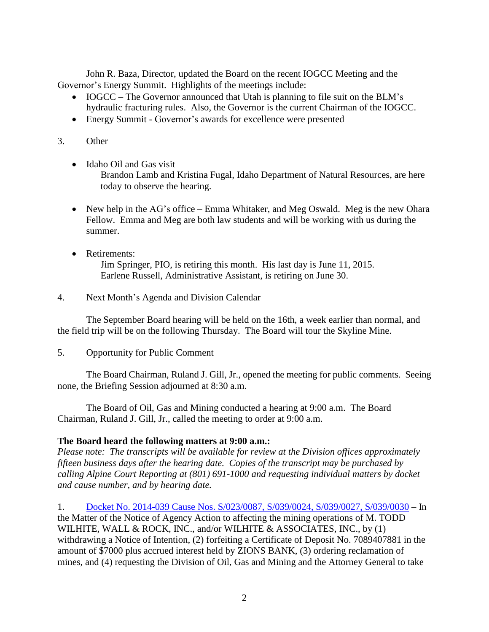John R. Baza, Director, updated the Board on the recent IOGCC Meeting and the Governor's Energy Summit. Highlights of the meetings include:

- IOGCC The Governor announced that Utah is planning to file suit on the BLM's hydraulic fracturing rules. Also, the Governor is the current Chairman of the IOGCC.
- Energy Summit Governor's awards for excellence were presented

## 3. Other

• Idaho Oil and Gas visit

Brandon Lamb and Kristina Fugal, Idaho Department of Natural Resources, are here today to observe the hearing.

- New help in the AG's office Emma Whitaker, and Meg Oswald. Meg is the new Ohara Fellow. Emma and Meg are both law students and will be working with us during the summer.
- Retirements: Jim Springer, PIO, is retiring this month. His last day is June 11, 2015. Earlene Russell, Administrative Assistant, is retiring on June 30.
- 4. Next Month's Agenda and Division Calendar

The September Board hearing will be held on the 16th, a week earlier than normal, and the field trip will be on the following Thursday. The Board will tour the Skyline Mine.

5. Opportunity for Public Comment

The Board Chairman, Ruland J. Gill, Jr., opened the meeting for public comments. Seeing none, the Briefing Session adjourned at 8:30 a.m.

The Board of Oil, Gas and Mining conducted a hearing at 9:00 a.m. The Board Chairman, Ruland J. Gill, Jr., called the meeting to order at 9:00 a.m.

# **The Board heard the following matters at 9:00 a.m.:**

*Please note: The transcripts will be available for review at the Division offices approximately fifteen business days after the hearing date. Copies of the transcript may be purchased by calling Alpine Court Reporting at (801) 691-1000 and requesting individual matters by docket and cause number, and by hearing date.*

1. Docket No. 2014-039 Cause Nos. [S/023/0087,](http://ogm.utah.gov/amr/boardtemp/redesign/2015/05_may/dockets/2014-039_s0230087,s0390024,s0390027,s0390030_wilhite.php) S/039/0024, S/039/0027, S/039/0030 – In the Matter of the Notice of Agency Action to affecting the mining operations of M. TODD WILHITE, WALL & ROCK, INC., and/or WILHITE & ASSOCIATES, INC., by (1) withdrawing a Notice of Intention, (2) forfeiting a Certificate of Deposit No. 7089407881 in the amount of \$7000 plus accrued interest held by ZIONS BANK, (3) ordering reclamation of mines, and (4) requesting the Division of Oil, Gas and Mining and the Attorney General to take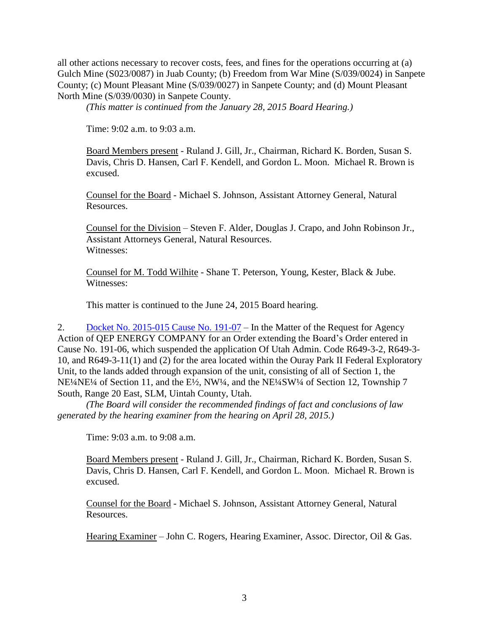all other actions necessary to recover costs, fees, and fines for the operations occurring at (a) Gulch Mine (S023/0087) in Juab County; (b) Freedom from War Mine (S/039/0024) in Sanpete County; (c) Mount Pleasant Mine (S/039/0027) in Sanpete County; and (d) Mount Pleasant North Mine (S/039/0030) in Sanpete County.

*(This matter is continued from the January 28, 2015 Board Hearing.)*

Time: 9:02 a.m. to 9:03 a.m.

Board Members present - Ruland J. Gill, Jr., Chairman, Richard K. Borden, Susan S. Davis, Chris D. Hansen, Carl F. Kendell, and Gordon L. Moon. Michael R. Brown is excused.

Counsel for the Board - Michael S. Johnson, Assistant Attorney General, Natural Resources.

Counsel for the Division – Steven F. Alder, Douglas J. Crapo, and John Robinson Jr., Assistant Attorneys General, Natural Resources. Witnesses:

Counsel for M. Todd Wilhite - Shane T. Peterson, Young, Kester, Black & Jube. Witnesses:

This matter is continued to the June 24, 2015 Board hearing.

2. Docket No. [2015-015](http://ogm.utah.gov/amr/boardtemp/redesign/2015/05_may/dockets/2015-015_191-07_qep_ourayparkii.php) Cause No. 191-07 – In the Matter of the Request for Agency Action of QEP ENERGY COMPANY for an Order extending the Board's Order entered in Cause No. 191-06, which suspended the application Of Utah Admin. Code R649-3-2, R649-3- 10, and R649-3-11(1) and (2) for the area located within the Ouray Park II Federal Exploratory Unit, to the lands added through expansion of the unit, consisting of all of Section 1, the NE¼NE¼ of Section 11, and the E½, NW¼, and the NE¼SW¼ of Section 12, Township 7 South, Range 20 East, SLM, Uintah County, Utah.

*(The Board will consider the recommended findings of fact and conclusions of law generated by the hearing examiner from the hearing on April 28, 2015.)*

Time: 9:03 a.m. to 9:08 a.m.

Board Members present - Ruland J. Gill, Jr., Chairman, Richard K. Borden, Susan S. Davis, Chris D. Hansen, Carl F. Kendell, and Gordon L. Moon. Michael R. Brown is excused.

Counsel for the Board - Michael S. Johnson, Assistant Attorney General, Natural Resources.

Hearing Examiner – John C. Rogers, Hearing Examiner, Assoc. Director, Oil & Gas.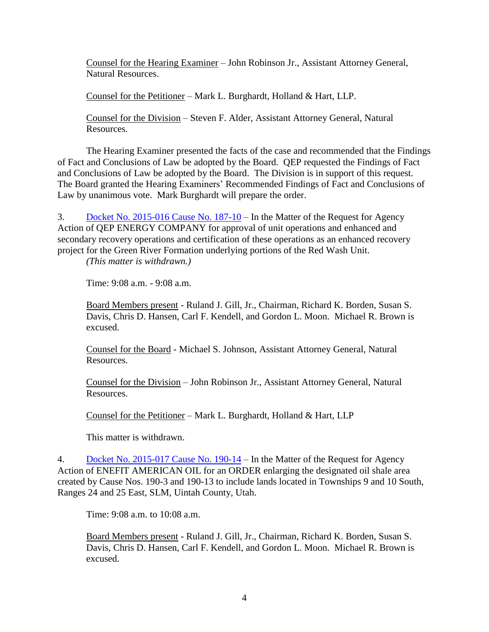Counsel for the Hearing Examiner – John Robinson Jr., Assistant Attorney General, Natural Resources.

Counsel for the Petitioner – Mark L. Burghardt, Holland & Hart, LLP.

Counsel for the Division – Steven F. Alder, Assistant Attorney General, Natural Resources.

The Hearing Examiner presented the facts of the case and recommended that the Findings of Fact and Conclusions of Law be adopted by the Board. QEP requested the Findings of Fact and Conclusions of Law be adopted by the Board. The Division is in support of this request. The Board granted the Hearing Examiners' Recommended Findings of Fact and Conclusions of Law by unanimous vote. Mark Burghardt will prepare the order.

3. Docket No. [2015-016](http://ogm.utah.gov/amr/boardtemp/redesign/2015/05_may/dockets/2015-016_187-10_qep_redwash.php) Cause No. 187-10 – In the Matter of the Request for Agency Action of QEP ENERGY COMPANY for approval of unit operations and enhanced and secondary recovery operations and certification of these operations as an enhanced recovery project for the Green River Formation underlying portions of the Red Wash Unit.

*(This matter is withdrawn.)*

Time: 9:08 a.m. - 9:08 a.m.

Board Members present - Ruland J. Gill, Jr., Chairman, Richard K. Borden, Susan S. Davis, Chris D. Hansen, Carl F. Kendell, and Gordon L. Moon. Michael R. Brown is excused.

Counsel for the Board - Michael S. Johnson, Assistant Attorney General, Natural Resources.

Counsel for the Division – John Robinson Jr., Assistant Attorney General, Natural Resources.

Counsel for the Petitioner – Mark L. Burghardt, Holland & Hart, LLP

This matter is withdrawn.

4. Docket No. [2015-017](http://ogm.utah.gov/amr/boardtemp/redesign/2015/05_may/dockets/2015-017_190-14_enefit.php) Cause No. 190-14 – In the Matter of the Request for Agency Action of ENEFIT AMERICAN OIL for an ORDER enlarging the designated oil shale area created by Cause Nos. 190-3 and 190-13 to include lands located in Townships 9 and 10 South, Ranges 24 and 25 East, SLM, Uintah County, Utah.

Time: 9:08 a.m. to 10:08 a.m.

Board Members present - Ruland J. Gill, Jr., Chairman, Richard K. Borden, Susan S. Davis, Chris D. Hansen, Carl F. Kendell, and Gordon L. Moon. Michael R. Brown is excused.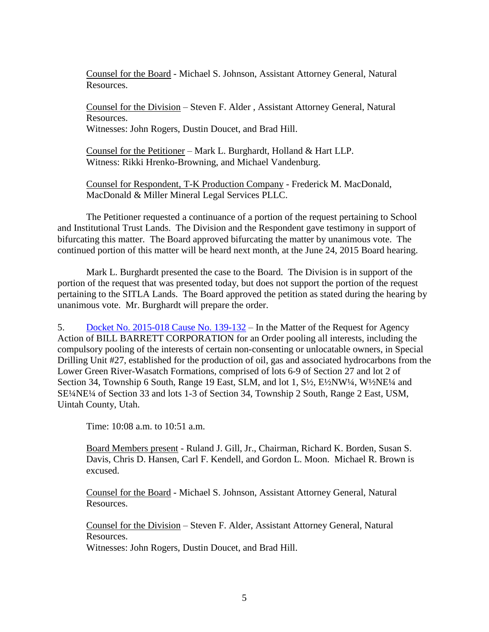Counsel for the Board - Michael S. Johnson, Assistant Attorney General, Natural Resources.

Counsel for the Division – Steven F. Alder , Assistant Attorney General, Natural Resources. Witnesses: John Rogers, Dustin Doucet, and Brad Hill.

Counsel for the Petitioner – Mark L. Burghardt, Holland & Hart LLP. Witness: Rikki Hrenko-Browning, and Michael Vandenburg.

Counsel for Respondent, T-K Production Company - Frederick M. MacDonald, MacDonald & Miller Mineral Legal Services PLLC.

The Petitioner requested a continuance of a portion of the request pertaining to School and Institutional Trust Lands. The Division and the Respondent gave testimony in support of bifurcating this matter. The Board approved bifurcating the matter by unanimous vote. The continued portion of this matter will be heard next month, at the June 24, 2015 Board hearing.

Mark L. Burghardt presented the case to the Board. The Division is in support of the portion of the request that was presented today, but does not support the portion of the request pertaining to the SITLA Lands. The Board approved the petition as stated during the hearing by unanimous vote. Mr. Burghardt will prepare the order.

5. Docket No. [2015-018](http://ogm.utah.gov/amr/boardtemp/redesign/2015/05_may/dockets/2015-018_139-132_bbc_specialdrillingunit#27.php) Cause No. 139-132 – In the Matter of the Request for Agency Action of BILL BARRETT CORPORATION for an Order pooling all interests, including the compulsory pooling of the interests of certain non-consenting or unlocatable owners, in Special Drilling Unit #27, established for the production of oil, gas and associated hydrocarbons from the Lower Green River-Wasatch Formations, comprised of lots 6-9 of Section 27 and lot 2 of Section 34, Township 6 South, Range 19 East, SLM, and lot 1, S<sup>1</sup>/<sub>2</sub>, E<sup>1</sup>/<sub>2</sub>NW<sup>1</sup>/<sub>4</sub>, W<sup>1</sup>/<sub>2</sub>NE<sup>1</sup>/<sub>4</sub> and SE¼NE¼ of Section 33 and lots 1-3 of Section 34, Township 2 South, Range 2 East, USM, Uintah County, Utah.

Time: 10:08 a.m. to 10:51 a.m.

Board Members present - Ruland J. Gill, Jr., Chairman, Richard K. Borden, Susan S. Davis, Chris D. Hansen, Carl F. Kendell, and Gordon L. Moon. Michael R. Brown is excused.

Counsel for the Board - Michael S. Johnson, Assistant Attorney General, Natural Resources.

Counsel for the Division – Steven F. Alder, Assistant Attorney General, Natural Resources. Witnesses: John Rogers, Dustin Doucet, and Brad Hill.